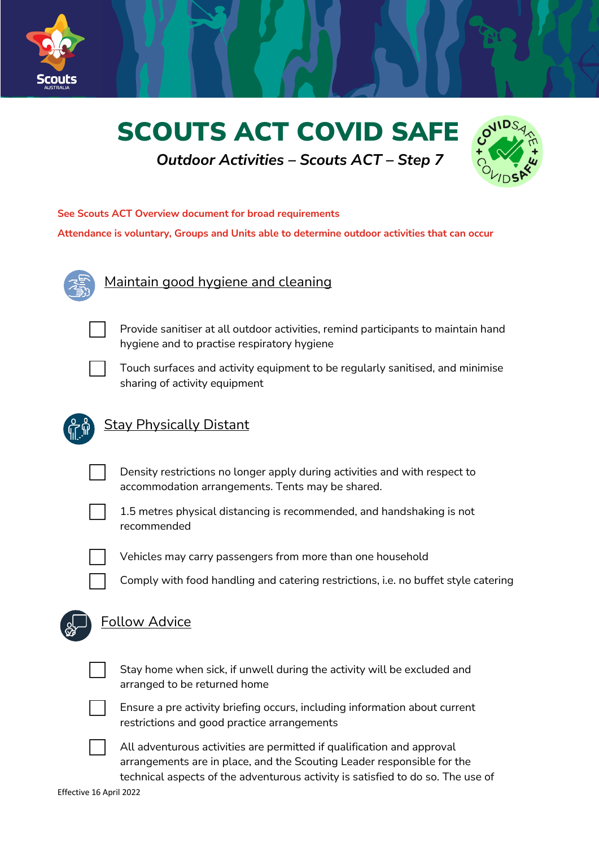





## **See Scouts ACT Overview document for broad requirements**

**Attendance is voluntary, Groups and Units able to determine outdoor activities that can occur**



## Maintain good hygiene and cleaning



Provide sanitiser at all outdoor activities, remind participants to maintain hand hygiene and to practise respiratory hygiene



Touch surfaces and activity equipment to be regularly sanitised, and minimise sharing of activity equipment



## Stay Physically Distant



Density restrictions no longer apply during activities and with respect to accommodation arrangements. Tents may be shared.



1.5 metres physical distancing is recommended, and handshaking is not recommended



Vehicles may carry passengers from more than one household

c Comply with food handling and catering restrictions, i.e. no buffet style catering



## Follow Advice



Stay home when sick, if unwell during the activity will be excluded and arranged to be returned home



Ensure a pre activity briefing occurs, including information about current restrictions and good practice arrangements



All adventurous activities are permitted if qualification and approval arrangements are in place, and the Scouting Leader responsible for the technical aspects of the adventurous activity is satisfied to do so. The use of